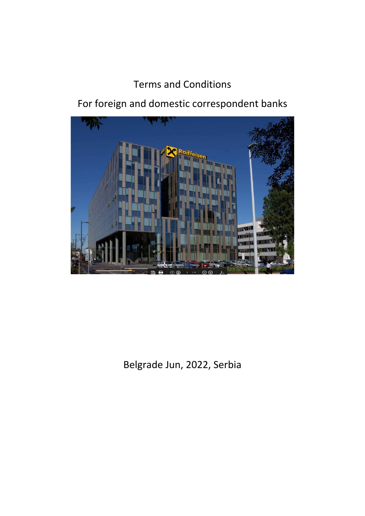### Terms and Conditions

For foreign and domestic correspondent banks



Belgrade Jun, 2022, Serbia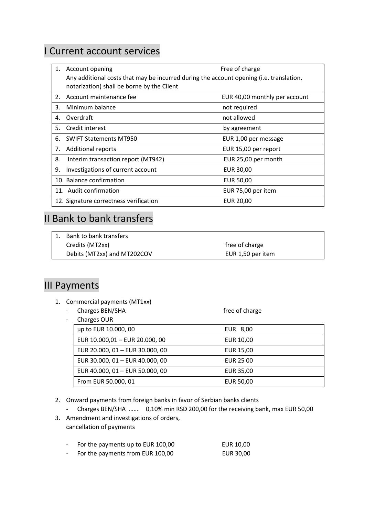#### I Current account services

| 1. | Account opening                                                                                                                       | Free of charge                |  |
|----|---------------------------------------------------------------------------------------------------------------------------------------|-------------------------------|--|
|    | Any additional costs that may be incurred during the account opening (i.e. translation,<br>notarization) shall be borne by the Client |                               |  |
|    | 2. Account maintenance fee                                                                                                            | EUR 40,00 monthly per account |  |
| 3. | Minimum balance                                                                                                                       | not required                  |  |
| 4. | Overdraft                                                                                                                             | not allowed                   |  |
| 5. | Credit interest                                                                                                                       | by agreement                  |  |
| 6. | <b>SWIFT Statements MT950</b>                                                                                                         | EUR 1,00 per message          |  |
| 7. | <b>Additional reports</b>                                                                                                             | EUR 15,00 per report          |  |
| 8. | Interim transaction report (MT942)                                                                                                    | EUR 25,00 per month           |  |
| 9. | Investigations of current account                                                                                                     | EUR 30,00                     |  |
|    | 10. Balance confirmation                                                                                                              | <b>EUR 50,00</b>              |  |
|    | 11. Audit confirmation                                                                                                                | EUR 75,00 per item            |  |
|    | 12. Signature correctness verification                                                                                                | <b>EUR 20,00</b>              |  |

## II Bank to bank transfers

| 1. Bank to bank transfers   |                   |  |
|-----------------------------|-------------------|--|
| Credits (MT2xx)             | free of charge    |  |
| Debits (MT2xx) and MT202COV | EUR 1,50 per item |  |

#### III Payments

1. Commercial payments (MT1xx)

| Charges BEN/SHA                 | free of charge |
|---------------------------------|----------------|
| Charges OUR                     |                |
| up to EUR 10.000, 00            | EUR 8,00       |
| EUR 10.000,01 - EUR 20.000, 00  | EUR 10,00      |
| EUR 20.000, 01 - EUR 30.000, 00 | EUR 15,00      |
| EUR 30.000, 01 - EUR 40.000, 00 | EUR 25 00      |
| EUR 40.000, 01 - EUR 50.000, 00 | EUR 35,00      |
| From EUR 50.000, 01             | EUR 50,00      |

- 2. Onward payments from foreign banks in favor of Serbian banks clients
	- Charges BEN/SHA ……. 0,10% min RSD 200,00 for the receiving bank, max EUR 50,00
- 3. Amendment and investigations of orders, cancellation of payments

|  | For the payments up to EUR 100,00 | EUR 10,00 |
|--|-----------------------------------|-----------|
|--|-----------------------------------|-----------|

- For the payments from EUR 100,00 EUR 30,00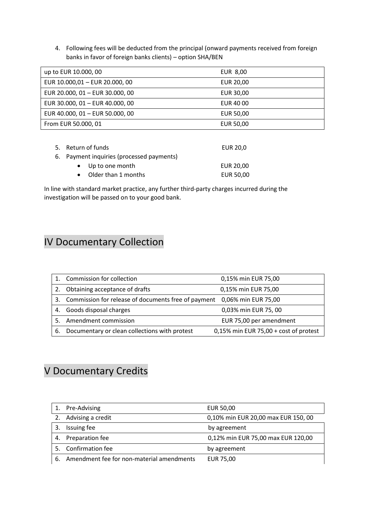4. Following fees will be deducted from the principal (onward payments received from foreign banks in favor of foreign banks clients) – option SHA/BEN

| up to EUR 10.000, 00            | EUR 8,00         |
|---------------------------------|------------------|
| EUR 10.000,01 - EUR 20.000, 00  | EUR 20,00        |
| EUR 20.000, 01 - EUR 30.000, 00 | EUR 30,00        |
| EUR 30.000, 01 - EUR 40.000, 00 | EUR 40 00        |
| EUR 40.000, 01 - EUR 50.000, 00 | <b>EUR 50,00</b> |
| From EUR 50.000, 01             | <b>EUR 50,00</b> |

| 5. Return of funds                        | EUR 20,0         |
|-------------------------------------------|------------------|
| 6. Payment inquiries (processed payments) |                  |
| $\bullet$ Up to one month                 | EUR 20.00        |
| Older than 1 months                       | <b>EUR 50,00</b> |

In line with standard market practice, any further third-party charges incurred during the investigation will be passed on to your good bank.

### IV Documentary Collection

|    | Commission for collection                           | 0,15% min EUR 75,00                      |
|----|-----------------------------------------------------|------------------------------------------|
| 2. | Obtaining acceptance of drafts                      | 0,15% min EUR 75,00                      |
| 3. | Commission for release of documents free of payment | 0,06% min EUR 75,00                      |
| 4. | Goods disposal charges                              | 0,03% min EUR 75,00                      |
|    | Amendment commission                                | EUR 75,00 per amendment                  |
| 6. | Documentary or clean collections with protest       | $0,15\%$ min EUR 75,00 + cost of protest |

### V Documentary Credits

|    | Pre-Advising                                 | EUR 50,00                           |
|----|----------------------------------------------|-------------------------------------|
|    | 2. Advising a credit                         | 0,10% min EUR 20,00 max EUR 150, 00 |
|    | Issuing fee                                  | by agreement                        |
| 4. | Preparation fee                              | 0,12% min EUR 75,00 max EUR 120,00  |
|    | Confirmation fee                             | by agreement                        |
|    | 6. Amendment fee for non-material amendments | EUR 75,00                           |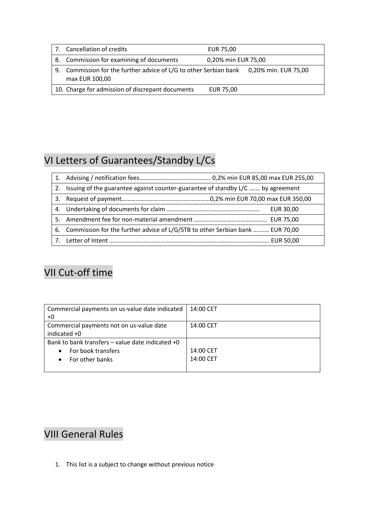| 7. Cancellation of credits                                                                               | EUR 75,00           |  |
|----------------------------------------------------------------------------------------------------------|---------------------|--|
| 8. Commission for examining of documents                                                                 | 0,20% min EUR 75,00 |  |
| 9. Commission for the further advice of L/G to other Serbian bank 0,20% min. EUR 75,00<br>max EUR 100,00 |                     |  |
| 10. Charge for admission of discrepant documents                                                         | EUR 75,00           |  |

# VI Letters of Guarantees/Standby L/Cs

| 1. |                                                                                  |
|----|----------------------------------------------------------------------------------|
| 2. | Issuing of the guarantee against counter-guarantee of standby L/C  by agreement  |
| 3. |                                                                                  |
|    | EUR 30,00                                                                        |
|    |                                                                                  |
|    | 6. Commission for the further advice of L/G/STB to other Serbian bank  EUR 70,00 |
|    |                                                                                  |

## VII Cut-off time

| Commercial payments on us-value date indicated       | 14:00 CET |
|------------------------------------------------------|-----------|
| +0                                                   |           |
| Commercial payments not on us-value date             | 14:00 CET |
| indicated +0                                         |           |
| Bank to bank transfers $-$ value date indicated $+0$ |           |
| For book transfers<br>$\bullet$                      | 14:00 CET |
| For other banks                                      | 14:00 CET |
|                                                      |           |

# VIII General Rules

1. This list is a subject to change without previous notice